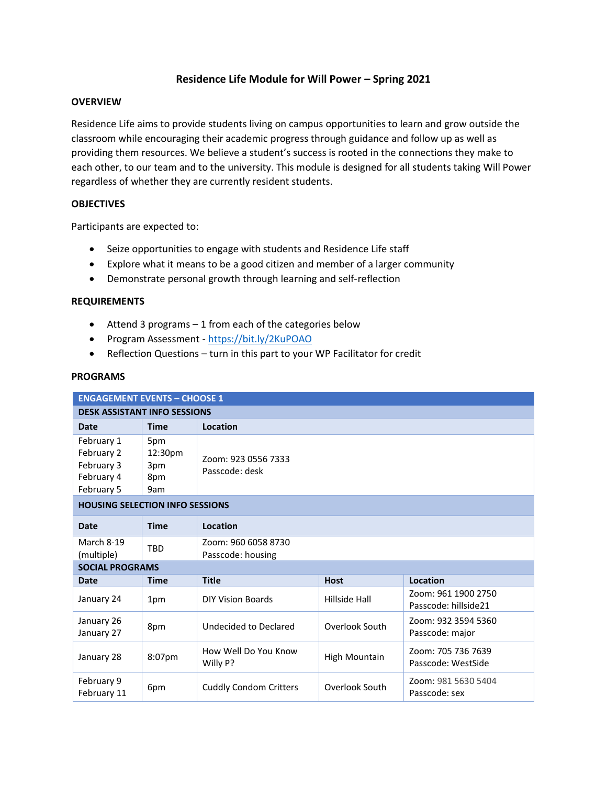# **Residence Life Module for Will Power – Spring 2021**

### **OVERVIEW**

Residence Life aims to provide students living on campus opportunities to learn and grow outside the classroom while encouraging their academic progress through guidance and follow up as well as providing them resources. We believe a student's success is rooted in the connections they make to each other, to our team and to the university. This module is designed for all students taking Will Power regardless of whether they are currently resident students.

# **OBJECTIVES**

Participants are expected to:

- Seize opportunities to engage with students and Residence Life staff
- Explore what it means to be a good citizen and member of a larger community
- Demonstrate personal growth through learning and self-reflection

## **REQUIREMENTS**

- Attend 3 programs 1 from each of the categories below
- Program Assessment <https://bit.ly/2KuPOAO>
- Reflection Questions turn in this part to your WP Facilitator for credit

#### **PROGRAMS**

| <b>ENGAGEMENT EVENTS - CHOOSE 1</b>                                |                                     |                                          |                |                                             |  |  |  |  |
|--------------------------------------------------------------------|-------------------------------------|------------------------------------------|----------------|---------------------------------------------|--|--|--|--|
| <b>DESK ASSISTANT INFO SESSIONS</b>                                |                                     |                                          |                |                                             |  |  |  |  |
| <b>Date</b>                                                        | <b>Time</b>                         | Location                                 |                |                                             |  |  |  |  |
| February 1<br>February 2<br>February 3<br>February 4<br>February 5 | 5pm<br>12:30pm<br>3pm<br>8pm<br>9am | Zoom: 923 0556 7333<br>Passcode: desk    |                |                                             |  |  |  |  |
| <b>HOUSING SELECTION INFO SESSIONS</b>                             |                                     |                                          |                |                                             |  |  |  |  |
| <b>Date</b>                                                        | <b>Time</b>                         | Location                                 |                |                                             |  |  |  |  |
| March 8-19<br>(multiple)                                           | TBD                                 | Zoom: 960 6058 8730<br>Passcode: housing |                |                                             |  |  |  |  |
| <b>SOCIAL PROGRAMS</b>                                             |                                     |                                          |                |                                             |  |  |  |  |
| <b>Date</b>                                                        | <b>Time</b>                         | <b>Title</b>                             | <b>Host</b>    | Location                                    |  |  |  |  |
| January 24                                                         | 1pm                                 | <b>DIY Vision Boards</b>                 | Hillside Hall  | Zoom: 961 1900 2750<br>Passcode: hillside21 |  |  |  |  |
| January 26<br>January 27                                           | 8pm                                 | Undecided to Declared                    | Overlook South | Zoom: 932 3594 5360<br>Passcode: major      |  |  |  |  |
| January 28                                                         | 8:07pm                              | How Well Do You Know<br>Willy P?         | High Mountain  | Zoom: 705 736 7639<br>Passcode: WestSide    |  |  |  |  |
| February 9<br>February 11                                          | 6pm                                 | <b>Cuddly Condom Critters</b>            | Overlook South | Zoom: 981 5630 5404<br>Passcode: sex        |  |  |  |  |